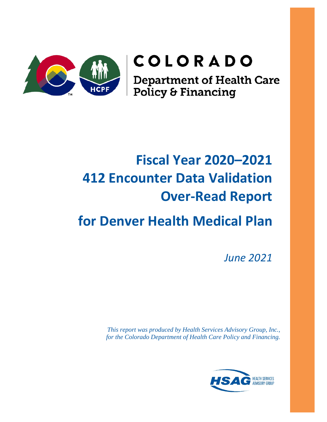

# COLORADO

**Department of Health Care<br>Policy & Financing** 

# **Fiscal Year 2020–2021 412 Encounter Data Validation Over-Read Report**

# **for Denver Health Medical Plan**

*June 2021*

*This report was produced by Health Services Advisory Group, Inc., for the Colorado Department of Health Care Policy and Financing.* 

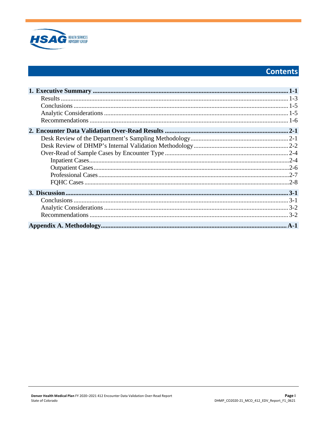

# **Contents**

| $.2 - 4$ |
|----------|
|          |
|          |
|          |
|          |
|          |
|          |
|          |
|          |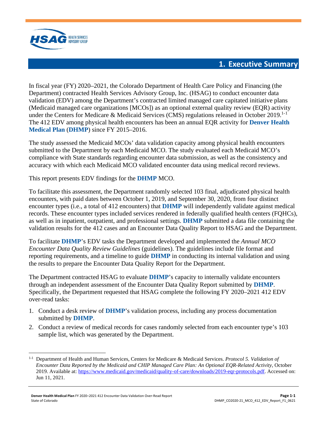

## **1. Executive Summary**

<span id="page-2-0"></span>In fiscal year (FY) 2020–2021, the Colorado Department of Health Care Policy and Financing (the Department) contracted Health Services Advisory Group, Inc. (HSAG) to conduct encounter data validation (EDV) among the Department's contracted limited managed care capitated initiative plans (Medicaid managed care organizations [MCOs]) as an optional external quality review (EQR) activity under the Centers for Medicare & Medicaid Services (CMS) regulations released in October 20[1](#page-2-1)9.<sup>1-1</sup> The 412 EDV among physical health encounters has been an annual EQR activity for **Denver Health Medical Plan** (**DHMP**) since FY 2015–2016.

The study assessed the Medicaid MCOs' data validation capacity among physical health encounters submitted to the Department by each Medicaid MCO. The study evaluated each Medicaid MCO's compliance with State standards regarding encounter data submission, as well as the consistency and accuracy with which each Medicaid MCO validated encounter data using medical record reviews.

This report presents EDV findings for the **DHMP** MCO.

To facilitate this assessment, the Department randomly selected 103 final, adjudicated physical health encounters, with paid dates between October 1, 2019, and September 30, 2020, from four distinct encounter types (i.e., a total of 412 encounters) that **DHMP** will independently validate against medical records. These encounter types included services rendered in federally qualified health centers (FQHCs), as well as in inpatient, outpatient, and professional settings. **DHMP** submitted a data file containing the validation results for the 412 cases and an Encounter Data Quality Report to HSAG and the Department.

To facilitate **DHMP**'s EDV tasks the Department developed and implemented the *Annual MCO Encounter Data Quality Review Guidelines* (guidelines). The guidelines include file format and reporting requirements, and a timeline to guide **DHMP** in conducting its internal validation and using the results to prepare the Encounter Data Quality Report for the Department.

The Department contracted HSAG to evaluate **DHMP**'s capacity to internally validate encounters through an independent assessment of the Encounter Data Quality Report submitted by **DHMP**. Specifically, the Department requested that HSAG complete the following FY 2020–2021 412 EDV over-read tasks:

- 1. Conduct a desk review of **DHMP**'s validation process, including any process documentation submitted by **DHMP**.
- 2. Conduct a review of medical records for cases randomly selected from each encounter type's 103 sample list, which was generated by the Department.

<span id="page-2-1"></span><sup>1-1</sup> Department of Health and Human Services, Centers for Medicare & Medicaid Services. *Protocol 5. Validation of Encounter Data Reported by the Medicaid and CHIP Managed Care Plan: An Optional EQR-Related Activity*, October 2019. Available at[: https://www.medicaid.gov/medicaid/quality-of-care/downloads/2019-eqr-protocols.pdf.](https://www.medicaid.gov/medicaid/quality-of-care/downloads/2019-eqr-protocols.pdf) Accessed on: Jun 11, 2021.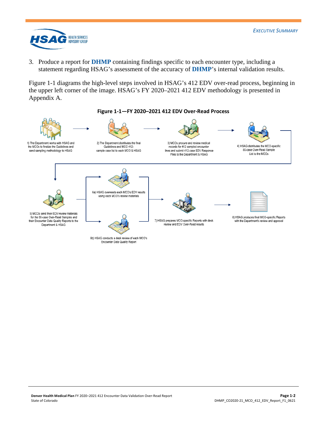

3. Produce a report for **DHMP** containing findings specific to each encounter type, including a statement regarding HSAG's assessment of the accuracy of **DHMP**'s internal validation results.

[Figure 1-1](#page-3-0) diagrams the high-level steps involved in HSAG's 412 EDV over-read process, beginning in the upper left corner of the image. HSAG's FY 2020–2021 412 EDV methodology is presented in Appendix A.

<span id="page-3-0"></span>

#### **Figure 1-1—FY 2020–2021 412 EDV Over-Read Process**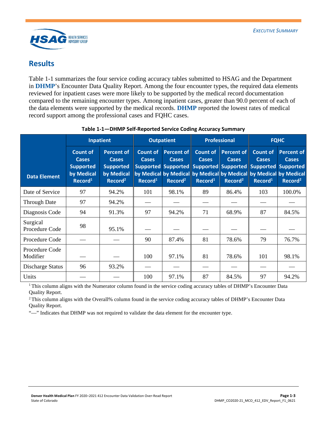

## <span id="page-4-0"></span>**Results**

[Table 1-1](#page-4-1) summarizes the four service coding accuracy tables submitted to HSAG and the Department in **DHMP**'s Encounter Data Quality Report. Among the four encounter types, the required data elements reviewed for inpatient cases were more likely to be supported by the medical record documentation compared to the remaining encounter types. Among inpatient cases, greater than 90.0 percent of each of the data elements were supported by the medical records. **DHMP** reported the lowest rates of medical record support among the professional cases and FQHC cases.

<span id="page-4-1"></span>

|                            |                                                                                          | Inpatient                                                                                  |                                                        | <b>Outpatient</b>                                        |                                                      | <b>Professional</b>                                      | <b>FQHC</b>                                                                                                                                                                                |                                                          |
|----------------------------|------------------------------------------------------------------------------------------|--------------------------------------------------------------------------------------------|--------------------------------------------------------|----------------------------------------------------------|------------------------------------------------------|----------------------------------------------------------|--------------------------------------------------------------------------------------------------------------------------------------------------------------------------------------------|----------------------------------------------------------|
| <b>Data Element</b>        | <b>Count of</b><br><b>Cases</b><br><b>Supported</b><br>by Medical<br>Record <sup>1</sup> | <b>Percent of</b><br><b>Cases</b><br><b>Supported</b><br>by Medical<br>Record <sup>2</sup> | <b>Count of</b><br><b>Cases</b><br>Record <sup>1</sup> | <b>Percent of</b><br><b>Cases</b><br>Record <sup>2</sup> | <b>Count of</b><br><b>Cases</b><br>$\text{Record}^1$ | <b>Percent of</b><br><b>Cases</b><br>Record <sup>2</sup> | <b>Count of</b><br><b>Cases</b><br>Supported Supported Supported Supported Supported Supported<br>by Medical by Medical by Medical by Medical by Medical by Medical<br>Record <sup>1</sup> | <b>Percent of</b><br><b>Cases</b><br>Record <sup>2</sup> |
| Date of Service            | 97                                                                                       | 94.2%                                                                                      | 101                                                    | 98.1%                                                    | 89                                                   | 86.4%                                                    | 103                                                                                                                                                                                        | 100.0%                                                   |
| <b>Through Date</b>        | 97                                                                                       | 94.2%                                                                                      |                                                        |                                                          |                                                      |                                                          |                                                                                                                                                                                            |                                                          |
| Diagnosis Code             | 94                                                                                       | 91.3%                                                                                      | 97                                                     | 94.2%                                                    | 71                                                   | 68.9%                                                    | 87                                                                                                                                                                                         | 84.5%                                                    |
| Surgical<br>Procedure Code | 98                                                                                       | 95.1%                                                                                      |                                                        |                                                          |                                                      |                                                          |                                                                                                                                                                                            |                                                          |
| Procedure Code             |                                                                                          |                                                                                            | 90                                                     | 87.4%                                                    | 81                                                   | 78.6%                                                    | 79                                                                                                                                                                                         | 76.7%                                                    |
| Procedure Code<br>Modifier |                                                                                          |                                                                                            | 100                                                    | 97.1%                                                    | 81                                                   | 78.6%                                                    | 101                                                                                                                                                                                        | 98.1%                                                    |
| Discharge Status           | 96                                                                                       | 93.2%                                                                                      |                                                        |                                                          |                                                      |                                                          |                                                                                                                                                                                            |                                                          |
| Units                      |                                                                                          |                                                                                            | 100                                                    | 97.1%                                                    | 87                                                   | 84.5%                                                    | 97                                                                                                                                                                                         | 94.2%                                                    |

#### **Table 1-1—DHMP Self-Reported Service Coding Accuracy Summary**

<sup>1</sup> This column aligns with the Numerator column found in the service coding accuracy tables of DHMP's Encounter Data

Quality Report.<br><sup>2</sup> This column aligns with the Overall% column found in the service coding accuracy tables of DHMP's Encounter Data Quality Report.

"—" Indicates that DHMP was not required to validate the data element for the encounter type.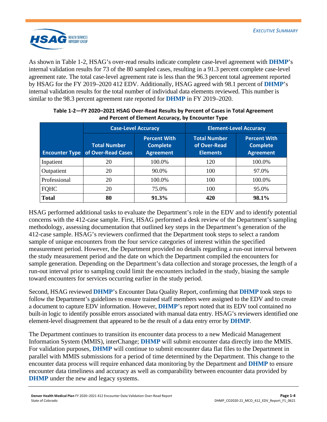

As shown in [Table 1-2,](#page-5-0) HSAG's over-read results indicate complete case-level agreement with **DHMP**'s internal validation results for 73 of the 80 sampled cases, resulting in a 91.3 percent complete case-level agreement rate. The total case-level agreement rate is less than the 96.3 percent total agreement reported by HSAG for the FY 2019–2020 412 EDV. Additionally, HSAG agreed with 98.1 percent of **DHMP**'s internal validation results for the total number of individual data elements reviewed. This number is similar to the 98.3 percent agreement rate reported for **DHMP** in FY 2019–2020.

<span id="page-5-0"></span>

|                       | <b>Case-Level Accuracy</b>                |                                                            | <b>Element-Level Accuracy</b>                          |                                                            |  |
|-----------------------|-------------------------------------------|------------------------------------------------------------|--------------------------------------------------------|------------------------------------------------------------|--|
| <b>Encounter Type</b> | <b>Total Number</b><br>of Over-Read Cases | <b>Percent With</b><br><b>Complete</b><br><b>Agreement</b> | <b>Total Number</b><br>of Over-Read<br><b>Elements</b> | <b>Percent With</b><br><b>Complete</b><br><b>Agreement</b> |  |
| Inpatient             | 20                                        | 100.0%                                                     | 120                                                    | 100.0%                                                     |  |
| Outpatient            | 20                                        | 90.0%                                                      | 100                                                    | 97.0%                                                      |  |
| Professional          | 20                                        | 100.0%                                                     | 100                                                    | 100.0%                                                     |  |
| <b>FQHC</b>           | 20                                        | 75.0%                                                      | 100                                                    | 95.0%                                                      |  |
| <b>Total</b>          | 80                                        | 91.3%                                                      | 420                                                    | 98.1%                                                      |  |

#### **Table 1-2—FY 2020–2021 HSAG Over-Read Results by Percent of Cases in Total Agreement and Percent of Element Accuracy, by Encounter Type**

HSAG performed additional tasks to evaluate the Department's role in the EDV and to identify potential concerns with the 412-case sample. First, HSAG performed a desk review of the Department's sampling methodology, assessing documentation that outlined key steps in the Department's generation of the 412-case sample. HSAG's reviewers confirmed that the Department took steps to select a random sample of unique encounters from the four service categories of interest within the specified measurement period. However, the Department provided no details regarding a run-out interval between the study measurement period and the date on which the Department compiled the encounters for sample generation. Depending on the Department's data collection and storage processes, the length of a run-out interval prior to sampling could limit the encounters included in the study, biasing the sample toward encounters for services occurring earlier in the study period.

Second, HSAG reviewed **DHMP**'s Encounter Data Quality Report, confirming that **DHMP** took steps to follow the Department's guidelines to ensure trained staff members were assigned to the EDV and to create a document to capture EDV information. However, **DHMP**'s report noted that its EDV tool contained no built-in logic to identify possible errors associated with manual data entry. HSAG's reviewers identified one element-level disagreement that appeared to be the result of a data entry error by **DHMP**.

The Department continues to transition its encounter data process to a new Medicaid Management Information System (MMIS), interChange; **DHMP** will submit encounter data directly into the MMIS. For validation purposes, **DHMP** will continue to submit encounter data flat files to the Department in parallel with MMIS submissions for a period of time determined by the Department. This change to the encounter data process will require enhanced data monitoring by the Department and **DHMP** to ensure encounter data timeliness and accuracy as well as comparability between encounter data provided by **DHMP** under the new and legacy systems.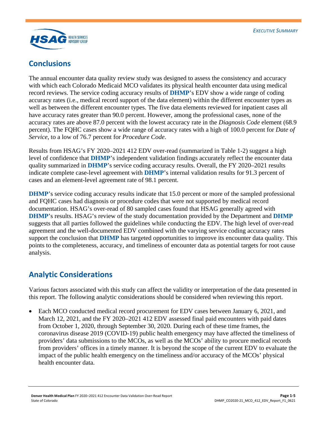

## <span id="page-6-0"></span>**Conclusions**

The annual encounter data quality review study was designed to assess the consistency and accuracy with which each Colorado Medicaid MCO validates its physical health encounter data using medical record reviews. The service coding accuracy results of **DHMP**'s EDV show a wide range of coding accuracy rates (i.e., medical record support of the data element) within the different encounter types as well as between the different encounter types. The five data elements reviewed for inpatient cases all have accuracy rates greater than 90.0 percent. However, among the professional cases, none of the accuracy rates are above 87.0 percent with the lowest accuracy rate in the *Diagnosis Code* element (68.9 percent). The FQHC cases show a wide range of accuracy rates with a high of 100.0 percent for *Date of Service*, to a low of 76.7 percent for *Procedure Code*.

Results from HSAG's FY 2020–2021 412 EDV over-read (summarized in [Table 1-2\)](#page-5-0) suggest a high level of confidence that **DHMP**'s independent validation findings accurately reflect the encounter data quality summarized in **DHMP**'s service coding accuracy results. Overall, the FY 2020–2021 results indicate complete case-level agreement with **DHMP**'s internal validation results for 91.3 percent of cases and an element-level agreement rate of 98.1 percent.

**DHMP**'s service coding accuracy results indicate that 15.0 percent or more of the sampled professional and FQHC cases had diagnosis or procedure codes that were not supported by medical record documentation. HSAG's over-read of 80 sampled cases found that HSAG generally agreed with **DHMP**'s results. HSAG's review of the study documentation provided by the Department and **DHMP** suggests that all parties followed the guidelines while conducting the EDV. The high level of over-read agreement and the well-documented EDV combined with the varying service coding accuracy rates support the conclusion that **DHMP** has targeted opportunities to improve its encounter data quality. This points to the completeness, accuracy, and timeliness of encounter data as potential targets for root cause analysis.

## <span id="page-6-1"></span>**Analytic Considerations**

Various factors associated with this study can affect the validity or interpretation of the data presented in this report. The following analytic considerations should be considered when reviewing this report.

• Each MCO conducted medical record procurement for EDV cases between January 6, 2021, and March 12, 2021, and the FY 2020–2021 412 EDV assessed final paid encounters with paid dates from October 1, 2020, through September 30, 2020. During each of these time frames, the coronavirus disease 2019 (COVID-19) public health emergency may have affected the timeliness of providers' data submissions to the MCOs, as well as the MCOs' ability to procure medical records from providers' offices in a timely manner. It is beyond the scope of the current EDV to evaluate the impact of the public health emergency on the timeliness and/or accuracy of the MCOs' physical health encounter data.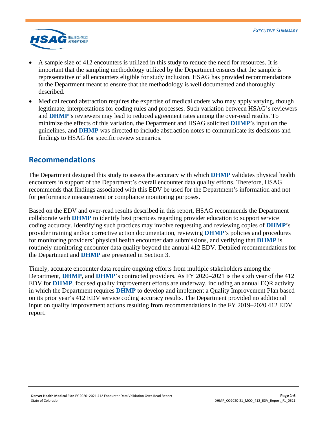

- A sample size of 412 encounters is utilized in this study to reduce the need for resources. It is important that the sampling methodology utilized by the Department ensures that the sample is representative of all encounters eligible for study inclusion. HSAG has provided recommendations to the Department meant to ensure that the methodology is well documented and thoroughly described.
- Medical record abstraction requires the expertise of medical coders who may apply varying, though legitimate, interpretations for coding rules and processes. Such variation between HSAG's reviewers and **DHMP**'s reviewers may lead to reduced agreement rates among the over-read results. To minimize the effects of this variation, the Department and HSAG solicited **DHMP**'s input on the guidelines, and **DHMP** was directed to include abstraction notes to communicate its decisions and findings to HSAG for specific review scenarios.

## <span id="page-7-0"></span>**Recommendations**

The Department designed this study to assess the accuracy with which **DHMP** validates physical health encounters in support of the Department's overall encounter data quality efforts. Therefore, HSAG recommends that findings associated with this EDV be used for the Department's information and not for performance measurement or compliance monitoring purposes.

Based on the EDV and over-read results described in this report, HSAG recommends the Department collaborate with **DHMP** to identify best practices regarding provider education to support service coding accuracy. Identifying such practices may involve requesting and reviewing copies of **DHMP**'s provider training and/or corrective action documentation, reviewing **DHMP**'s policies and procedures for monitoring providers' physical health encounter data submissions, and verifying that **DHMP** is routinely monitoring encounter data quality beyond the annual 412 EDV. Detailed recommendations for the Department and **DHMP** are presented in Section 3.

Timely, accurate encounter data require ongoing efforts from multiple stakeholders among the Department, **DHMP**, and **DHMP**'s contracted providers. As FY 2020–2021 is the sixth year of the 412 EDV for **DHMP**, focused quality improvement efforts are underway, including an annual EQR activity in which the Department requires **DHMP** to develop and implement a Quality Improvement Plan based on its prior year's 412 EDV service coding accuracy results. The Department provided no additional input on quality improvement actions resulting from recommendations in the FY 2019–2020 412 EDV report.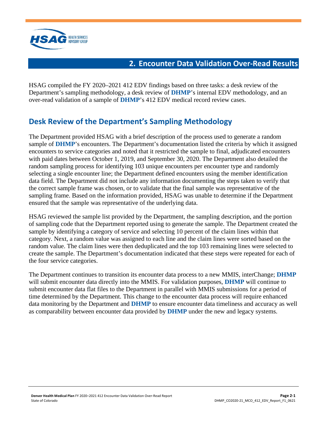

## **2. Encounter Data Validation Over-Read Results**

<span id="page-8-0"></span>HSAG compiled the FY 2020–2021 412 EDV findings based on three tasks: a desk review of the Department's sampling methodology, a desk review of **DHMP**'s internal EDV methodology, and an over-read validation of a sample of **DHMP**'s 412 EDV medical record review cases.

# <span id="page-8-1"></span>**Desk Review of the Department's Sampling Methodology**

The Department provided HSAG with a brief description of the process used to generate a random sample of **DHMP**'s encounters. The Department's documentation listed the criteria by which it assigned encounters to service categories and noted that it restricted the sample to final, adjudicated encounters with paid dates between October 1, 2019, and September 30, 2020. The Department also detailed the random sampling process for identifying 103 unique encounters per encounter type and randomly selecting a single encounter line; the Department defined encounters using the member identification data field. The Department did not include any information documenting the steps taken to verify that the correct sample frame was chosen, or to validate that the final sample was representative of the sampling frame. Based on the information provided, HSAG was unable to determine if the Department ensured that the sample was representative of the underlying data.

HSAG reviewed the sample list provided by the Department, the sampling description, and the portion of sampling code that the Department reported using to generate the sample. The Department created the sample by identifying a category of service and selecting 10 percent of the claim lines within that category. Next, a random value was assigned to each line and the claim lines were sorted based on the random value. The claim lines were then deduplicated and the top 103 remaining lines were selected to create the sample. The Department's documentation indicated that these steps were repeated for each of the four service categories.

The Department continues to transition its encounter data process to a new MMIS, interChange; **DHMP** will submit encounter data directly into the MMIS. For validation purposes, **DHMP** will continue to submit encounter data flat files to the Department in parallel with MMIS submissions for a period of time determined by the Department. This change to the encounter data process will require enhanced data monitoring by the Department and **DHMP** to ensure encounter data timeliness and accuracy as well as comparability between encounter data provided by **DHMP** under the new and legacy systems.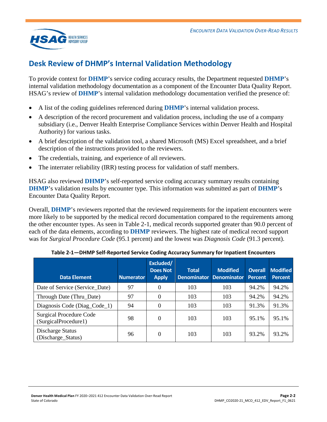

# <span id="page-9-0"></span>**Desk Review of DHMP's Internal Validation Methodology**

To provide context for **DHMP**'s service coding accuracy results, the Department requested **DHMP**'s internal validation methodology documentation as a component of the Encounter Data Quality Report. HSAG's review of **DHMP**'s internal validation methodology documentation verified the presence of:

- A list of the coding guidelines referenced during **DHMP**'s internal validation process.
- A description of the record procurement and validation process, including the use of a company subsidiary (i.e., Denver Health Enterprise Compliance Services within Denver Health and Hospital Authority) for various tasks.
- A brief description of the validation tool, a shared Microsoft (MS) Excel spreadsheet, and a brief description of the instructions provided to the reviewers.
- The credentials, training, and experience of all reviewers.
- The interrater reliability (IRR) testing process for validation of staff members.

HSAG also reviewed **DHMP**'s self-reported service coding accuracy summary results containing **DHMP**'s validation results by encounter type. This information was submitted as part of **DHMP**'s Encounter Data Quality Report.

Overall, **DHMP**'s reviewers reported that the reviewed requirements for the inpatient encounters were more likely to be supported by the medical record documentation compared to the requirements among the other encounter types. As seen in [Table 2-1,](#page-9-1) medical records supported greater than 90.0 percent of each of the data elements, according to **DHMP** reviewers. The highest rate of medical record support was for *Surgical Procedure Code* (95.1 percent) and the lowest was *Diagnosis Code* (91.3 percent).

<span id="page-9-1"></span>

| <b>Data Element</b>                                    | <b>Numerator</b> | Excluded/<br><b>Does Not</b><br><b>Apply</b> | <b>Total</b><br><b>Denominator</b> | <b>Modified</b><br><b>Denominator</b> | <b>Overall</b><br><b>Percent</b> | <b>Modified</b><br><b>Percent</b> |
|--------------------------------------------------------|------------------|----------------------------------------------|------------------------------------|---------------------------------------|----------------------------------|-----------------------------------|
| Date of Service (Service Date)                         | 97               | 0                                            | 103                                | 103                                   | 94.2%                            | 94.2%                             |
| Through Date (Thru_Date)                               | 97               | 0                                            | 103                                | 103                                   | 94.2%                            | 94.2%                             |
| Diagnosis Code (Diag_Code_1)                           | 94               | 0                                            | 103                                | 103                                   | 91.3%                            | 91.3%                             |
| <b>Surgical Procedure Code</b><br>(SurgicalProcedure1) | 98               | 0                                            | 103                                | 103                                   | 95.1%                            | 95.1%                             |
| Discharge Status<br>(Discharge_Status)                 | 96               | 0                                            | 103                                | 103                                   | 93.2%                            | 93.2%                             |

| Table 2-1-DHMP Self-Reported Service Coding Accuracy Summary for Inpatient Encounters |  |  |  |
|---------------------------------------------------------------------------------------|--|--|--|
|---------------------------------------------------------------------------------------|--|--|--|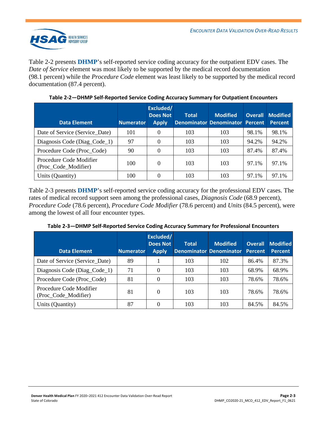

[Table 2-2](#page-10-0) presents **DHMP**'s self-reported service coding accuracy for the outpatient EDV cases. The *Date of Service* element was most likely to be supported by the medical record documentation (98.1 percent) while the *Procedure Code* element was least likely to be supported by the medical record documentation (87.4 percent).

<span id="page-10-0"></span>

| <b>Data Element</b>                             | <b>Numerator</b> | Excluded/<br><b>Does Not</b><br><b>Apply</b> | <b>Total</b> | <b>Modified</b><br>Denominator Denominator Percent | <b>Overall</b> | <b>Modified</b><br><b>Percent</b> |
|-------------------------------------------------|------------------|----------------------------------------------|--------------|----------------------------------------------------|----------------|-----------------------------------|
| Date of Service (Service Date)                  | 101              | 0                                            | 103          | 103                                                | 98.1%          | 98.1%                             |
| Diagnosis Code (Diag_Code_1)                    | 97               | $\Omega$                                     | 103          | 103                                                | 94.2%          | 94.2%                             |
| Procedure Code (Proc_Code)                      | 90               | 0                                            | 103          | 103                                                | 87.4%          | 87.4%                             |
| Procedure Code Modifier<br>(Proc_Code_Modifier) | 100              | 0                                            | 103          | 103                                                | 97.1%          | 97.1%                             |
| Units (Quantity)                                | 100              |                                              | 103          | 103                                                | 97.1%          | 97.1%                             |

**Table 2-2—DHMP Self-Reported Service Coding Accuracy Summary for Outpatient Encounters**

[Table 2-3](#page-10-1) presents **DHMP**'s self-reported service coding accuracy for the professional EDV cases. The rates of medical record support seen among the professional cases, *Diagnosis Code* (68.9 percent), *Procedure Code* (78.6 percent), *Procedure Code Modifier* (78.6 percent) and *Units* (84.5 percent), were among the lowest of all four encounter types.

<span id="page-10-1"></span>

| <b>Data Element</b>                             | <b>Numerator</b> | Excluded/<br><b>Does Not</b><br><b>Apply</b> | <b>Total</b> | <b>Modified</b><br><b>Denominator Denominator</b> | <b>Overall</b><br><b>Percent</b> | <b>Modified</b><br><b>Percent</b> |
|-------------------------------------------------|------------------|----------------------------------------------|--------------|---------------------------------------------------|----------------------------------|-----------------------------------|
| Date of Service (Service Date)                  | 89               |                                              | 103          | 102                                               | 86.4%                            | 87.3%                             |
| Diagnosis Code (Diag_Code_1)                    | 71               | $\Omega$                                     | 103          | 103                                               | 68.9%                            | 68.9%                             |
| Procedure Code (Proc_Code)                      | 81               | $\Omega$                                     | 103          | 103                                               | 78.6%                            | 78.6%                             |
| Procedure Code Modifier<br>(Proc_Code_Modifier) | 81               | $\Omega$                                     | 103          | 103                                               | 78.6%                            | 78.6%                             |
| Units (Quantity)                                | 87               |                                              | 103          | 103                                               | 84.5%                            | 84.5%                             |

**Table 2-3—DHMP Self-Reported Service Coding Accuracy Summary for Professional Encounters**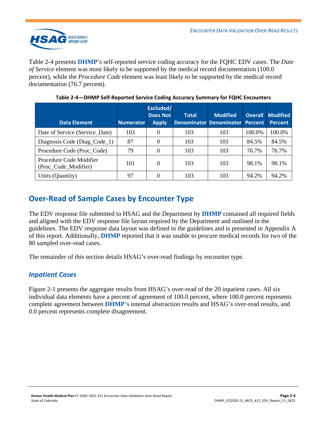

[Table 2-4](#page-11-2) presents **DHMP**'s self-reported service coding accuracy for the FQHC EDV cases. The *Date of Service* element was most likely to be supported by the medical record documentation (100.0 percent), while the *Procedure Code* element was least likely to be supported by the medical record documentation (76.7 percent).

<span id="page-11-2"></span>

| <b>Data Element</b>                             | <b>Numerator</b> | Excluded/<br><b>Does Not</b><br><b>Apply</b> | <b>Total</b> | <b>Modified</b><br>Denominator Denominator Percent | <b>Overall</b> | <b>Modified</b><br><b>Percent</b> |
|-------------------------------------------------|------------------|----------------------------------------------|--------------|----------------------------------------------------|----------------|-----------------------------------|
| Date of Service (Service Date)                  | 103              |                                              | 103          | 103                                                | 100.0%         | 100.0%                            |
| Diagnosis Code (Diag_Code_1)                    | 87               | $\Omega$                                     | 103          | 103                                                | 84.5%          | 84.5%                             |
| Procedure Code (Proc_Code)                      | 79               |                                              | 103          | 103                                                | 76.7%          | 76.7%                             |
| Procedure Code Modifier<br>(Proc_Code_Modifier) | 101              | $\Omega$                                     | 103          | 103                                                | 98.1%          | 98.1%                             |
| Units (Quantity)                                | 97               |                                              | 103          | 103                                                | 94.2%          | 94.2%                             |

**Table 2-4—DHMP Self-Reported Service Coding Accuracy Summary for FQHC Encounters**

# <span id="page-11-0"></span>**Over-Read of Sample Cases by Encounter Type**

The EDV response file submitted to HSAG and the Department by **DHMP** contained all required fields and aligned with the EDV response file layout required by the Department and outlined in the guidelines. The EDV response data layout was defined in the guidelines and is presented in Appendix A of this report. Additionally, **DHMP** reported that it was unable to procure medical records for two of the 80 sampled over-read cases.

The remainder of this section details HSAG's over-read findings by encounter type.

### <span id="page-11-1"></span>*Inpatient Cases*

[Figure 2-1](#page-12-0) presents the aggregate results from HSAG's over-read of the 20 inpatient cases. All six individual data elements have a percent of agreement of 100.0 percent, where 100.0 percent represents complete agreement between **DHMP**'s internal abstraction results and HSAG's over-read results, and 0.0 percent represents complete disagreement.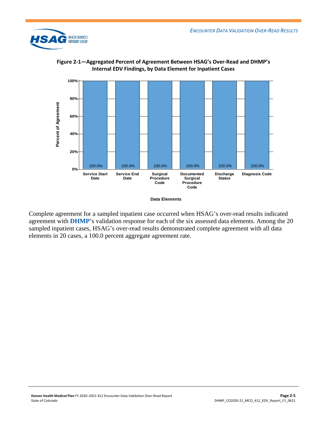



<span id="page-12-0"></span>**Figure 2-1—Aggregated Percent of Agreement Between HSAG's Over-Read and DHMP's Internal EDV Findings, by Data Element for Inpatient Cases**

Complete agreement for a sampled inpatient case occurred when HSAG's over-read results indicated agreement with **DHMP**'s validation response for each of the six assessed data elements. Among the 20 sampled inpatient cases, HSAG's over-read results demonstrated complete agreement with all data elements in 20 cases, a 100.0 percent aggregate agreement rate.

**Data Elements**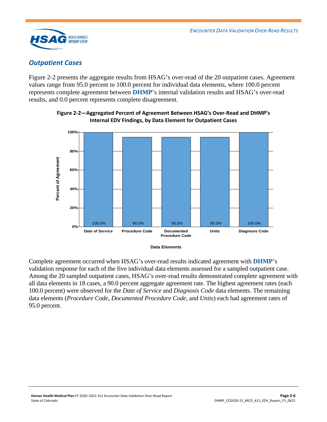

## <span id="page-13-0"></span>*Outpatient Cases*

[Figure 2-2](#page-13-1) presents the aggregate results from HSAG's over-read of the 20 outpatient cases. Agreement values range from 95.0 percent to 100.0 percent for individual data elements, where 100.0 percent represents complete agreement between **DHMP**'s internal validation results and HSAG's over-read results, and 0.0 percent represents complete disagreement.



<span id="page-13-1"></span>**Figure 2-2—Aggregated Percent of Agreement Between HSAG's Over-Read and DHMP's Internal EDV Findings, by Data Element for Outpatient Cases**

**Data Elements** 

Complete agreement occurred when HSAG's over-read results indicated agreement with **DHMP**'s validation response for each of the five individual data elements assessed for a sampled outpatient case. Among the 20 sampled outpatient cases, HSAG's over-read results demonstrated complete agreement with all data elements in 18 cases, a 90.0 percent aggregate agreement rate. The highest agreement rates (each 100.0 percent) were observed for the *Date of Service* and *Diagnosis Code* data elements. The remaining data elements (*Procedure Code*, *Documented Procedure Code*, and *Units*) each had agreement rates of 95.0 percent.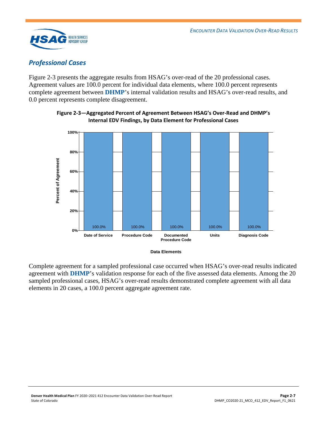

## <span id="page-14-0"></span>*Professional Cases*

[Figure 2-3](#page-14-1) presents the aggregate results from HSAG's over-read of the 20 professional cases. Agreement values are 100.0 percent for individual data elements, where 100.0 percent represents complete agreement between **DHMP**'s internal validation results and HSAG's over-read results, and 0.0 percent represents complete disagreement.

<span id="page-14-1"></span>

**Figure 2-3—Aggregated Percent of Agreement Between HSAG's Over-Read and DHMP's Internal EDV Findings, by Data Element for Professional Cases**

**Data Elements** 

Complete agreement for a sampled professional case occurred when HSAG's over-read results indicated agreement with **DHMP**'s validation response for each of the five assessed data elements. Among the 20 sampled professional cases, HSAG's over-read results demonstrated complete agreement with all data elements in 20 cases, a 100.0 percent aggregate agreement rate.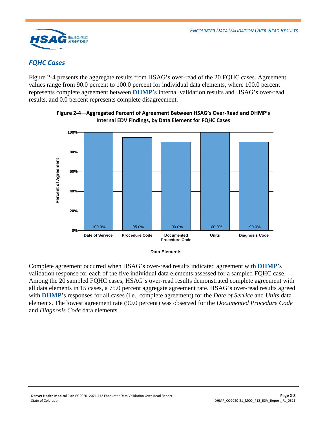

## <span id="page-15-0"></span>*FQHC Cases*

[Figure 2-4](#page-15-1) presents the aggregate results from HSAG's over-read of the 20 FQHC cases. Agreement values range from 90.0 percent to 100.0 percent for individual data elements, where 100.0 percent represents complete agreement between **DHMP**'s internal validation results and HSAG's over-read results, and 0.0 percent represents complete disagreement.



<span id="page-15-1"></span>**Figure 2-4—Aggregated Percent of Agreement Between HSAG's Over-Read and DHMP's Internal EDV Findings, by Data Element for FQHC Cases**

**Data Elements** 

Complete agreement occurred when HSAG's over-read results indicated agreement with **DHMP**'s validation response for each of the five individual data elements assessed for a sampled FQHC case. Among the 20 sampled FQHC cases, HSAG's over-read results demonstrated complete agreement with all data elements in 15 cases, a 75.0 percent aggregate agreement rate. HSAG's over-read results agreed with **DHMP**'s responses for all cases (i.e., complete agreement) for the *Date of Service* and *Units* data elements. The lowest agreement rate (90.0 percent) was observed for the *Documented Procedure Code* and *Diagnosis Code* data elements.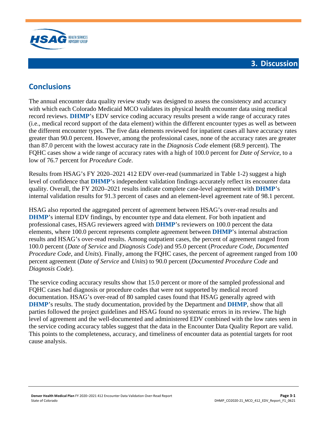

## **3. Discussion**

# <span id="page-16-1"></span><span id="page-16-0"></span>**Conclusions**

The annual encounter data quality review study was designed to assess the consistency and accuracy with which each Colorado Medicaid MCO validates its physical health encounter data using medical record reviews. **DHMP**'s EDV service coding accuracy results present a wide range of accuracy rates (i.e., medical record support of the data element) within the different encounter types as well as between the different encounter types. The five data elements reviewed for inpatient cases all have accuracy rates greater than 90.0 percent. However, among the professional cases, none of the accuracy rates are greater than 87.0 percent with the lowest accuracy rate in the *Diagnosis Code* element (68.9 percent). The FQHC cases show a wide range of accuracy rates with a high of 100.0 percent for *Date of Service*, to a low of 76.7 percent for *Procedure Code*.

Results from HSAG's FY 2020–2021 412 EDV over-read (summarized in [Table 1-2\)](#page-5-0) suggest a high level of confidence that **DHMP**'s independent validation findings accurately reflect its encounter data quality. Overall, the FY 2020–2021 results indicate complete case-level agreement with **DHMP**'s internal validation results for 91.3 percent of cases and an element-level agreement rate of 98.1 percent.

HSAG also reported the aggregated percent of agreement between HSAG's over-read results and **DHMP**'s internal EDV findings, by encounter type and data element. For both inpatient and professional cases, HSAG reviewers agreed with **DHMP**'s reviewers on 100.0 percent the data elements, where 100.0 percent represents complete agreement between **DHMP**'s internal abstraction results and HSAG's over-read results. Among outpatient cases, the percent of agreement ranged from 100.0 percent (*Date of Service* and *Diagnosis Code*) and 95.0 percent (*Procedure Code*, *Documented Procedure Code*, and *Units*). Finally, among the FQHC cases, the percent of agreement ranged from 100 percent agreement (*Date of Service* and *Units*) to 90.0 percent (*Documented Procedure Code* and *Diagnosis Code*).

The service coding accuracy results show that 15.0 percent or more of the sampled professional and FQHC cases had diagnosis or procedure codes that were not supported by medical record documentation. HSAG's over-read of 80 sampled cases found that HSAG generally agreed with **DHMP**'s results. The study documentation, provided by the Department and **DHMP**, show that all parties followed the project guidelines and HSAG found no systematic errors in its review. The high level of agreement and the well-documented and administered EDV combined with the low rates seen in the service coding accuracy tables suggest that the data in the Encounter Data Quality Report are valid. This points to the completeness, accuracy, and timeliness of encounter data as potential targets for root cause analysis.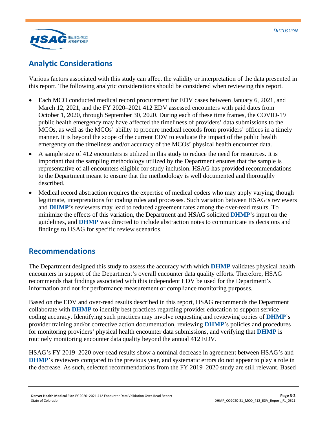

# <span id="page-17-0"></span>**Analytic Considerations**

Various factors associated with this study can affect the validity or interpretation of the data presented in this report. The following analytic considerations should be considered when reviewing this report.

- Each MCO conducted medical record procurement for EDV cases between January 6, 2021, and March 12, 2021, and the FY 2020–2021 412 EDV assessed encounters with paid dates from October 1, 2020, through September 30, 2020. During each of these time frames, the COVID-19 public health emergency may have affected the timeliness of providers' data submissions to the MCOs, as well as the MCOs' ability to procure medical records from providers' offices in a timely manner. It is beyond the scope of the current EDV to evaluate the impact of the public health emergency on the timeliness and/or accuracy of the MCOs' physical health encounter data.
- A sample size of 412 encounters is utilized in this study to reduce the need for resources. It is important that the sampling methodology utilized by the Department ensures that the sample is representative of all encounters eligible for study inclusion. HSAG has provided recommendations to the Department meant to ensure that the methodology is well documented and thoroughly described.
- Medical record abstraction requires the expertise of medical coders who may apply varying, though legitimate, interpretations for coding rules and processes. Such variation between HSAG's reviewers and **DHMP**'s reviewers may lead to reduced agreement rates among the over-read results. To minimize the effects of this variation, the Department and HSAG solicited **DHMP**'s input on the guidelines, and **DHMP** was directed to include abstraction notes to communicate its decisions and findings to HSAG for specific review scenarios.

## <span id="page-17-1"></span>**Recommendations**

The Department designed this study to assess the accuracy with which **DHMP** validates physical health encounters in support of the Department's overall encounter data quality efforts. Therefore, HSAG recommends that findings associated with this independent EDV be used for the Department's information and not for performance measurement or compliance monitoring purposes.

Based on the EDV and over-read results described in this report, HSAG recommends the Department collaborate with **DHMP** to identify best practices regarding provider education to support service coding accuracy. Identifying such practices may involve requesting and reviewing copies of **DHMP**'**s** provider training and/or corrective action documentation, reviewing **DHMP**'s policies and procedures for monitoring providers' physical health encounter data submissions, and verifying that **DHMP** is routinely monitoring encounter data quality beyond the annual 412 EDV.

HSAG's FY 2019–2020 over-read results show a nominal decrease in agreement between HSAG's and **DHMP**'s reviewers compared to the previous year, and systematic errors do not appear to play a role in the decrease. As such, selected recommendations from the FY 2019–2020 study are still relevant. Based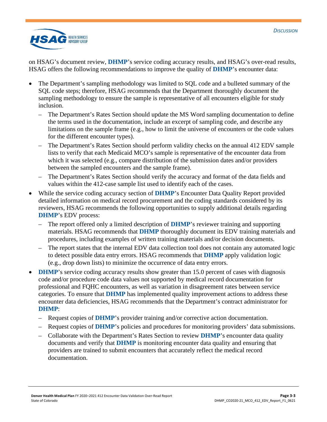

on HSAG's document review, **DHMP**'s service coding accuracy results, and HSAG's over-read results, HSAG offers the following recommendations to improve the quality of **DHMP**'s encounter data:

- The Department's sampling methodology was limited to SQL code and a bulleted summary of the SQL code steps; therefore, HSAG recommends that the Department thoroughly document the sampling methodology to ensure the sample is representative of all encounters eligible for study inclusion.
	- The Department's Rates Section should update the MS Word sampling documentation to define the terms used in the documentation, include an excerpt of sampling code, and describe any limitations on the sample frame (e.g., how to limit the universe of encounters or the code values for the different encounter types).
	- The Department's Rates Section should perform validity checks on the annual 412 EDV sample lists to verify that each Medicaid MCO's sample is representative of the encounter data from which it was selected (e.g., compare distribution of the submission dates and/or providers between the sampled encounters and the sample frame).
	- The Department's Rates Section should verify the accuracy and format of the data fields and values within the 412-case sample list used to identify each of the cases.
- While the service coding accuracy section of **DHMP**'s Encounter Data Quality Report provided detailed information on medical record procurement and the coding standards considered by its reviewers, HSAG recommends the following opportunities to supply additional details regarding **DHMP**'s EDV process:
	- The report offered only a limited description of **DHMP**'s reviewer training and supporting materials. HSAG recommends that **DHMP** thoroughly document its EDV training materials and procedures, including examples of written training materials and/or decision documents.
	- The report states that the internal EDV data collection tool does not contain any automated logic to detect possible data entry errors. HSAG recommends that **DHMP** apply validation logic (e.g., drop down lists) to minimize the occurrence of data entry errors.
- **DHMP**'s service coding accuracy results show greater than 15.0 percent of cases with diagnosis code and/or procedure code data values not supported by medical record documentation for professional and FQHC encounters, as well as variation in disagreement rates between service categories. To ensure that **DHMP** has implemented quality improvement actions to address these encounter data deficiencies, HSAG recommends that the Department's contract administrator for **DHMP**:
	- Request copies of **DHMP**'s provider training and/or corrective action documentation.
	- Request copies of **DHMP**'s policies and procedures for monitoring providers' data submissions.
	- Collaborate with the Department's Rates Section to review **DHMP**'s encounter data quality documents and verify that **DHMP** is monitoring encounter data quality and ensuring that providers are trained to submit encounters that accurately reflect the medical record documentation.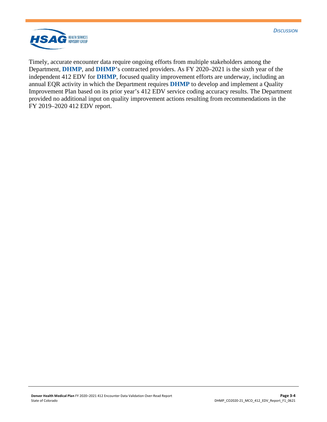



Timely, accurate encounter data require ongoing efforts from multiple stakeholders among the Department, **DHMP**, and **DHMP**'s contracted providers. As FY 2020–2021 is the sixth year of the independent 412 EDV for **DHMP**, focused quality improvement efforts are underway, including an annual EQR activity in which the Department requires **DHMP** to develop and implement a Quality Improvement Plan based on its prior year's 412 EDV service coding accuracy results. The Department provided no additional input on quality improvement actions resulting from recommendations in the FY 2019–2020 412 EDV report.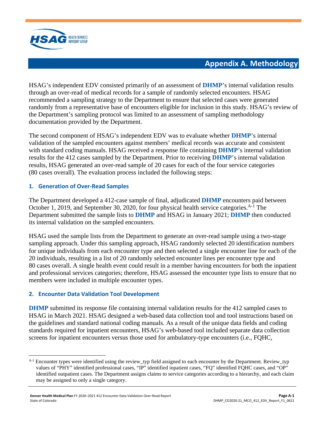

# **Appendix A. Methodology**

<span id="page-20-0"></span>HSAG's independent EDV consisted primarily of an assessment of **DHMP**'s internal validation results through an over-read of medical records for a sample of randomly selected encounters. HSAG recommended a sampling strategy to the Department to ensure that selected cases were generated randomly from a representative base of encounters eligible for inclusion in this study. HSAG's review of the Department's sampling protocol was limited to an assessment of sampling methodology documentation provided by the Department.

The second component of HSAG's independent EDV was to evaluate whether **DHMP**'s internal validation of the sampled encounters against members' medical records was accurate and consistent with standard coding manuals. HSAG received a response file containing **DHMP**'s internal validation results for the 412 cases sampled by the Department. Prior to receiving **DHMP**'s internal validation results, HSAG generated an over-read sample of 20 cases for each of the four service categories (80 cases overall). The evaluation process included the following steps:

### **1. Generation of Over-Read Samples**

The Department developed a 412-case sample of final, adjudicated **DHMP** encounters paid between October [1](#page-20-1), 2019, and September 30, 2020, for four physical health service categories.  $A^{-1}$  The Department submitted the sample lists to **DHMP** and HSAG in January 2021; **DHMP** then conducted its internal validation on the sampled encounters.

HSAG used the sample lists from the Department to generate an over-read sample using a two-stage sampling approach. Under this sampling approach, HSAG randomly selected 20 identification numbers for unique individuals from each encounter type and then selected a single encounter line for each of the 20 individuals, resulting in a list of 20 randomly selected encounter lines per encounter type and 80 cases overall. A single health event could result in a member having encounters for both the inpatient and professional services categories; therefore, HSAG assessed the encounter type lists to ensure that no members were included in multiple encounter types.

### **2. Encounter Data Validation Tool Development**

**DHMP** submitted its response file containing internal validation results for the 412 sampled cases to HSAG in March 2021. HSAG designed a web-based data collection tool and tool instructions based on the guidelines and standard national coding manuals. As a result of the unique data fields and coding standards required for inpatient encounters, HSAG's web-based tool included separate data collection screens for inpatient encounters versus those used for ambulatory-type encounters (i.e., FQHC,

<span id="page-20-1"></span> $A-1$  Encounter types were identified using the review typ field assigned to each encounter by the Department. Review typ values of "PHY" identified professional cases, "IP" identified inpatient cases, "FQ" identified FQHC cases, and "OP" identified outpatient cases. The Department assigns claims to service categories according to a hierarchy, and each claim may be assigned to only a single category.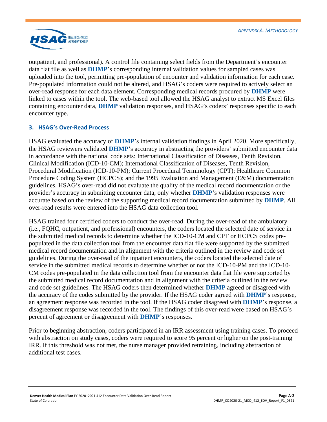

outpatient, and professional). A control file containing select fields from the Department's encounter data flat file as well as **DHMP**'s corresponding internal validation values for sampled cases was uploaded into the tool, permitting pre-population of encounter and validation information for each case. Pre-populated information could not be altered, and HSAG's coders were required to actively select an over-read response for each data element. Corresponding medical records procured by **DHMP** were linked to cases within the tool. The web-based tool allowed the HSAG analyst to extract MS Excel files containing encounter data, **DHMP** validation responses, and HSAG's coders' responses specific to each encounter type.

### **3. HSAG's Over-Read Process**

HSAG evaluated the accuracy of **DHMP**'s internal validation findings in April 2020. More specifically, the HSAG reviewers validated **DHMP**'s accuracy in abstracting the providers' submitted encounter data in accordance with the national code sets: International Classification of Diseases, Tenth Revision, Clinical Modification (ICD-10-CM); International Classification of Diseases, Tenth Revision, Procedural Modification (ICD-10-PM); Current Procedural Terminology (CPT); Healthcare Common Procedure Coding System (HCPCS); and the 1995 Evaluation and Management (E&M) documentation guidelines. HSAG's over-read did not evaluate the quality of the medical record documentation or the provider's accuracy in submitting encounter data, only whether **DHMP**'s validation responses were accurate based on the review of the supporting medical record documentation submitted by **DHMP**. All over-read results were entered into the HSAG data collection tool.

HSAG trained four certified coders to conduct the over-read. During the over-read of the ambulatory (i.e., FQHC, outpatient, and professional) encounters, the coders located the selected date of service in the submitted medical records to determine whether the ICD-10-CM and CPT or HCPCS codes prepopulated in the data collection tool from the encounter data flat file were supported by the submitted medical record documentation and in alignment with the criteria outlined in the review and code set guidelines. During the over-read of the inpatient encounters, the coders located the selected date of service in the submitted medical records to determine whether or not the ICD-10-PM and the ICD-10- CM codes pre-populated in the data collection tool from the encounter data flat file were supported by the submitted medical record documentation and in alignment with the criteria outlined in the review and code set guidelines. The HSAG coders then determined whether **DHMP** agreed or disagreed with the accuracy of the codes submitted by the provider. If the HSAG coder agreed with **DHMP**'s response, an agreement response was recorded in the tool. If the HSAG coder disagreed with **DHMP**'s response, a disagreement response was recorded in the tool. The findings of this over-read were based on HSAG's percent of agreement or disagreement with **DHMP**'s responses.

Prior to beginning abstraction, coders participated in an IRR assessment using training cases. To proceed with abstraction on study cases, coders were required to score 95 percent or higher on the post-training IRR. If this threshold was not met, the nurse manager provided retraining, including abstraction of additional test cases.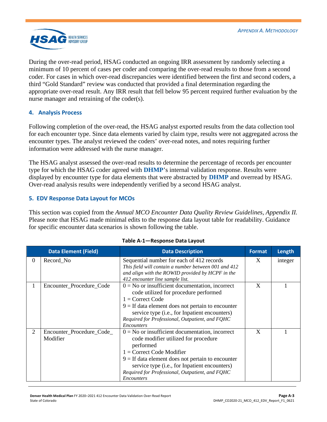

During the over-read period, HSAG conducted an ongoing IRR assessment by randomly selecting a minimum of 10 percent of cases per coder and comparing the over-read results to those from a second coder. For cases in which over-read discrepancies were identified between the first and second coders, a third "Gold Standard" review was conducted that provided a final determination regarding the appropriate over-read result. Any IRR result that fell below 95 percent required further evaluation by the nurse manager and retraining of the coder(s).

### **4. Analysis Process**

Following completion of the over-read, the HSAG analyst exported results from the data collection tool for each encounter type. Since data elements varied by claim type, results were not aggregated across the encounter types. The analyst reviewed the coders' over-read notes, and notes requiring further information were addressed with the nurse manager.

The HSAG analyst assessed the over-read results to determine the percentage of records per encounter type for which the HSAG coder agreed with **DHMP**'s internal validation response. Results were displayed by encounter type for data elements that were abstracted by **DHMP** and overread by HSAG. Over-read analysis results were independently verified by a second HSAG analyst.

#### **5. EDV Response Data Layout for MCOs**

This section was copied from the *Annual MCO Encounter Data Quality Review Guidelines, Appendix II.*  Please note that HSAG made minimal edits to the response data layout table for readability. Guidance for specific encounter data scenarios is shown following the table.

<span id="page-22-0"></span>

|          | <b>Data Element (Field)</b>           | <b>Data Description</b>                                                                                                                                                                                                                                                                                        | <b>Format</b> | Length  |
|----------|---------------------------------------|----------------------------------------------------------------------------------------------------------------------------------------------------------------------------------------------------------------------------------------------------------------------------------------------------------------|---------------|---------|
| $\theta$ | Record_No                             | Sequential number for each of 412 records<br>This field will contain a number between 001 and 412<br>and align with the ROWID provided by HCPF in the<br>412 encounter line sample list.                                                                                                                       | X             | integer |
| 1        | Encounter_Procedure_Code              | $0 = No$ or insufficient documentation, incorrect<br>code utilized for procedure performed<br>$1 =$ Correct Code<br>$9 =$ If data element does not pertain to encounter<br>service type (i.e., for Inpatient encounters)<br>Required for Professional, Outpatient, and FQHC<br><i>Encounters</i>               | X             |         |
| 2        | Encounter_Procedure_Code_<br>Modifier | $0 = No$ or insufficient documentation, incorrect<br>code modifier utilized for procedure<br>performed<br>$1 =$ Correct Code Modifier<br>$9 =$ If data element does not pertain to encounter<br>service type (i.e., for Inpatient encounters)<br>Required for Professional, Outpatient, and FQHC<br>Encounters | X             |         |

#### **Table A-1—Response Data Layout**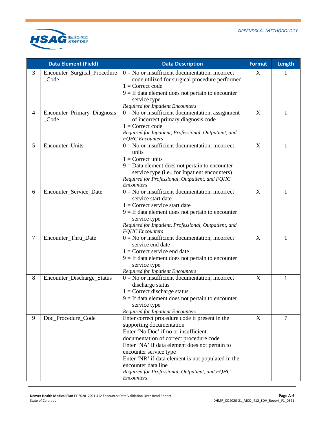

|        | <b>Data Element (Field)</b>                     | <b>Data Description</b>                                                                                                                                                                                                                                                                                                                                                                 |   | Length |
|--------|-------------------------------------------------|-----------------------------------------------------------------------------------------------------------------------------------------------------------------------------------------------------------------------------------------------------------------------------------------------------------------------------------------------------------------------------------------|---|--------|
| 3      | Encounter_Surgical_Procedure<br>$\_\text{Code}$ | $0 = No$ or insufficient documentation, incorrect<br>code utilized for surgical procedure performed<br>$1 =$ Correct code<br>$9 =$ If data element does not pertain to encounter<br>service type<br><b>Required for Inpatient Encounters</b>                                                                                                                                            | X |        |
| 4      | Encounter_Primary_Diagnosis<br>$\_\text{Code}$  | $0 = No$ or insufficient documentation, assignment<br>of incorrect primary diagnosis code<br>$1 =$ Correct code<br>Required for Inpatient, Professional, Outpatient, and<br><b>FQHC</b> Encounters                                                                                                                                                                                      | X | 1      |
| 5      | Encounter_Units                                 | $0 = No$ or insufficient documentation, incorrect<br>units<br>$1 =$ Correct units<br>$9 = Data$ element does not pertain to encounter<br>service type (i.e., for Inpatient encounters)<br>Required for Professional, Outpatient, and FQHC<br>Encounters                                                                                                                                 | X | 1      |
| 6      | Encounter_Service_Date                          | $0 = No$ or insufficient documentation, incorrect<br>service start date<br>$1 =$ Correct service start date<br>$9 =$ If data element does not pertain to encounter<br>service type<br>Required for Inpatient, Professional, Outpatient, and<br><b>FQHC</b> Encounters                                                                                                                   | X | 1      |
| $\tau$ | Encounter_Thru_Date                             | $0 = No$ or insufficient documentation, incorrect<br>service end date<br>$1 =$ Correct service end date<br>$9 =$ If data element does not pertain to encounter<br>service type<br><b>Required for Inpatient Encounters</b>                                                                                                                                                              | X | 1      |
| 8      | Encounter_Discharge_Status                      | $0 = No$ or insufficient documentation, incorrect<br>discharge status<br>$1 =$ Correct discharge status<br>$9 =$ If data element does not pertain to encounter<br>service type<br><b>Required for Inpatient Encounters</b>                                                                                                                                                              | X | 1      |
| 9      | Doc_Procedure_Code                              | Enter correct procedure code if present in the<br>supporting documentation<br>Enter 'No Doc' if no or insufficient<br>documentation of correct procedure code<br>Enter 'NA' if data element does not pertain to<br>encounter service type<br>Enter 'NR' if data element is not populated in the<br>encounter data line<br>Required for Professional, Outpatient, and FQHC<br>Encounters | X | 7      |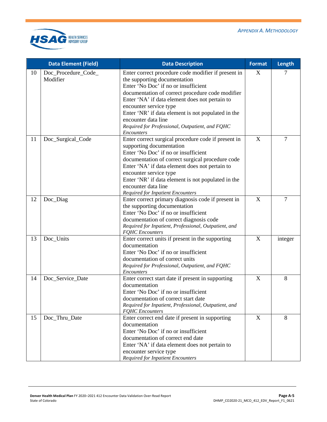

|    | <b>Data Element (Field)</b>     | <b>Data Description</b>                                                                                                                                                                                                                                                                                                                                                                                   | <b>Format</b>             | Length         |
|----|---------------------------------|-----------------------------------------------------------------------------------------------------------------------------------------------------------------------------------------------------------------------------------------------------------------------------------------------------------------------------------------------------------------------------------------------------------|---------------------------|----------------|
| 10 | Doc_Procedure_Code_<br>Modifier | Enter correct procedure code modifier if present in<br>the supporting documentation<br>Enter 'No Doc' if no or insufficient<br>documentation of correct procedure code modifier<br>Enter 'NA' if data element does not pertain to<br>encounter service type<br>Enter 'NR' if data element is not populated in the<br>encounter data line<br>Required for Professional, Outpatient, and FQHC<br>Encounters | X                         | 7              |
| 11 | Doc_Surgical_Code               | Enter correct surgical procedure code if present in<br>supporting documentation<br>Enter 'No Doc' if no or insufficient<br>documentation of correct surgical procedure code<br>Enter 'NA' if data element does not pertain to<br>encounter service type<br>Enter 'NR' if data element is not populated in the<br>encounter data line<br><b>Required for Inpatient Encounters</b>                          | $\boldsymbol{\mathrm{X}}$ | $\overline{7}$ |
| 12 | Doc_Diag                        | Enter correct primary diagnosis code if present in<br>the supporting documentation<br>Enter 'No Doc' if no or insufficient<br>documentation of correct diagnosis code<br>Required for Inpatient, Professional, Outpatient, and<br><b>FQHC</b> Encounters                                                                                                                                                  | X                         | $\overline{7}$ |
| 13 | Doc_Units                       | Enter correct units if present in the supporting<br>documentation<br>Enter 'No Doc' if no or insufficient<br>documentation of correct units<br>Required for Professional, Outpatient, and FQHC<br>Encounters                                                                                                                                                                                              | X                         | integer        |
| 14 | Doc_Service_Date                | Enter correct start date if present in supporting<br>documentation<br>Enter 'No Doc' if no or insufficient<br>documentation of correct start date<br>Required for Inpatient, Professional, Outpatient, and<br><b>FQHC</b> Encounters                                                                                                                                                                      | $\boldsymbol{X}$          | 8              |
| 15 | Doc_Thru_Date                   | Enter correct end date if present in supporting<br>documentation<br>Enter 'No Doc' if no or insufficient<br>documentation of correct end date<br>Enter 'NA' if data element does not pertain to<br>encounter service type<br><b>Required for Inpatient Encounters</b>                                                                                                                                     | $\mathbf X$               | 8              |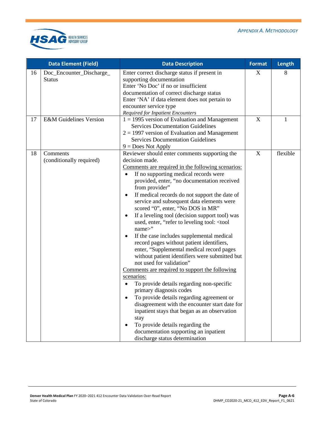

|    | <b>Data Element (Field)</b>               | <b>Data Description</b>                                                                                                                                                                                                                                                                                                                                                                                                                                                                                                                                                                                                                                                                                                                                                                                                                                                                                                                                                                                                                                                                                                                                 | <b>Format</b>             | Length   |
|----|-------------------------------------------|---------------------------------------------------------------------------------------------------------------------------------------------------------------------------------------------------------------------------------------------------------------------------------------------------------------------------------------------------------------------------------------------------------------------------------------------------------------------------------------------------------------------------------------------------------------------------------------------------------------------------------------------------------------------------------------------------------------------------------------------------------------------------------------------------------------------------------------------------------------------------------------------------------------------------------------------------------------------------------------------------------------------------------------------------------------------------------------------------------------------------------------------------------|---------------------------|----------|
| 16 | Doc_Encounter_Discharge_<br><b>Status</b> | Enter correct discharge status if present in<br>supporting documentation<br>Enter 'No Doc' if no or insufficient<br>documentation of correct discharge status<br>Enter 'NA' if data element does not pertain to<br>encounter service type<br><b>Required for Inpatient Encounters</b>                                                                                                                                                                                                                                                                                                                                                                                                                                                                                                                                                                                                                                                                                                                                                                                                                                                                   | X                         | 8        |
| 17 | <b>E&amp;M</b> Guidelines Version         | $1 = 1995$ version of Evaluation and Management<br><b>Services Documentation Guidelines</b><br>$2 = 1997$ version of Evaluation and Management<br><b>Services Documentation Guidelines</b><br>$9 = Does Not Apply$                                                                                                                                                                                                                                                                                                                                                                                                                                                                                                                                                                                                                                                                                                                                                                                                                                                                                                                                      | X                         | 1        |
| 18 | Comments<br>(conditionally required)      | Reviewer should enter comments supporting the<br>decision made.<br>Comments are required in the following scenarios:<br>If no supporting medical records were<br>provided, enter, "no documentation received<br>from provider"<br>If medical records do not support the date of<br>$\bullet$<br>service and subsequent data elements were<br>scored "0", enter, "No DOS in MR"<br>If a leveling tool (decision support tool) was<br>$\bullet$<br>used, enter, "refer to leveling tool: < tool<br>name>"<br>If the case includes supplemental medical<br>$\bullet$<br>record pages without patient identifiers,<br>enter, "Supplemental medical record pages<br>without patient identifiers were submitted but<br>not used for validation"<br>Comments are required to support the following<br>scenarios:<br>To provide details regarding non-specific<br>primary diagnosis codes<br>To provide details regarding agreement or<br>disagreement with the encounter start date for<br>inpatient stays that began as an observation<br>stay<br>To provide details regarding the<br>documentation supporting an inpatient<br>discharge status determination | $\boldsymbol{\mathrm{X}}$ | flexible |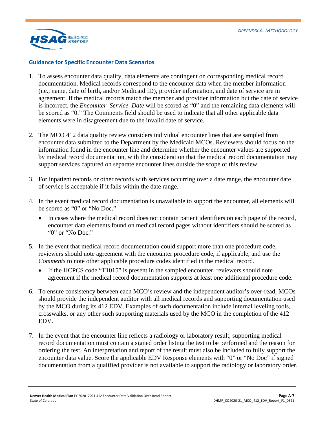

#### **Guidance for Specific Encounter Data Scenarios**

- 1. To assess encounter data quality, data elements are contingent on corresponding medical record documentation. Medical records correspond to the encounter data when the member information (i.e., name, date of birth, and/or Medicaid ID), provider information, and date of service are in agreement. If the medical records match the member and provider information but the date of service is incorrect, the *Encounter\_Service\_Date* will be scored as "0" and the remaining data elements will be scored as "0." The Comments field should be used to indicate that all other applicable data elements were in disagreement due to the invalid date of service.
- 2. The MCO 412 data quality review considers individual encounter lines that are sampled from encounter data submitted to the Department by the Medicaid MCOs. Reviewers should focus on the information found in the encounter line and determine whether the encounter values are supported by medical record documentation, with the consideration that the medical record documentation may support services captured on separate encounter lines outside the scope of this review.
- 3. For inpatient records or other records with services occurring over a date range, the encounter date of service is acceptable if it falls within the date range.
- 4. In the event medical record documentation is unavailable to support the encounter, all elements will be scored as "0" or "No Doc."
	- In cases where the medical record does not contain patient identifiers on each page of the record, encounter data elements found on medical record pages without identifiers should be scored as "0" or "No Doc."
- 5. In the event that medical record documentation could support more than one procedure code, reviewers should note agreement with the encounter procedure code, if applicable, and use the *Comments* to note other applicable procedure codes identified in the medical record.
	- If the HCPCS code "T1015" is present in the sampled encounter, reviewers should note agreement if the medical record documentation supports at least one additional procedure code.
- 6. To ensure consistency between each MCO's review and the independent auditor's over-read, MCOs should provide the independent auditor with all medical records and supporting documentation used by the MCO during its 412 EDV. Examples of such documentation include internal leveling tools, crosswalks, or any other such supporting materials used by the MCO in the completion of the 412 EDV.
- 7. In the event that the encounter line reflects a radiology or laboratory result, supporting medical record documentation must contain a signed order listing the test to be performed and the reason for ordering the test. An interpretation and report of the result must also be included to fully support the encounter data value. Score the applicable EDV Response elements with "0" or "No Doc" if signed documentation from a qualified provider is not available to support the radiology or laboratory order.